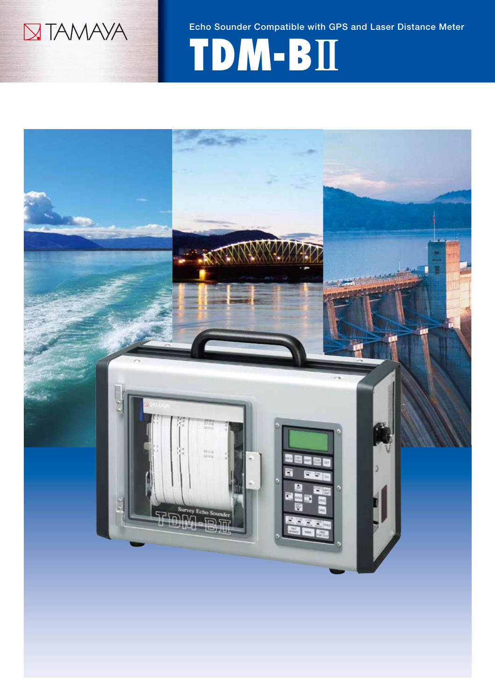

Echo Sounder Compatible with GPS and Laser Distance Meter

# **TDM-BⅡ**